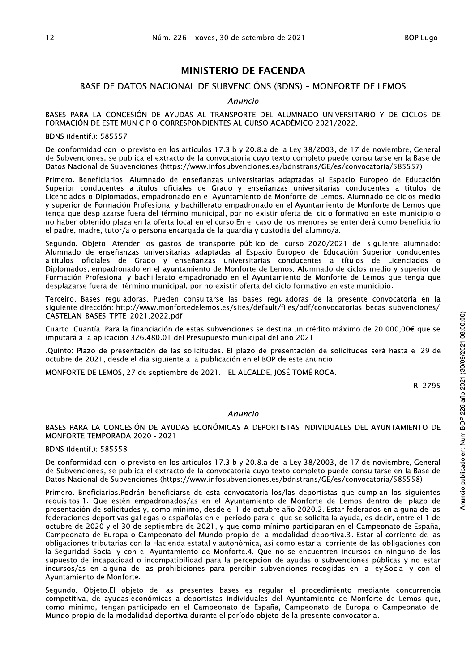## BASE DE DATOS NACIONAL DE SUBVENCIÓNS (BDNS) - MONFORTE DE LEMOS

#### Anuncio

BASES PARA LA CONCESIÓN DE AYUDAS AL TRANSPORTE DEL ALUMNADO UNIVERSITARIO Y DE CICLOS DE FORMACION DE ESTE MUNICIPIO CORRESPONDIENTES AL CURSO ACADEMICO 2021/2022.

BDNS (Identif.): 585557

226 – xoves, 30 de setembro de 2021<br> **MINISTERIO DE FACENDA<br>
DINAL DE SUBVENCIÓNS (BDNS) – MONFORTE I<br>
Anuncio<br>
UDAS AL TRANSPORTE DEL ALUMNADO UNIVERSITA<br>
RESPONDIENTES AL CURSO ACADÉMICO 2021/2022.<br>
Se artículos 17.3.b y** De conformidad con lo previsto en los artículos 17.3.b y 20.8.a de la Ley 38/2003, de 17 de hoviembre, General de Subvenciones, se publica el extracto de la convocatoria cuyo texto completo puede consultarse en la Base de Datos Nacional de Subvenciones (https://www.infosubvenciones.es/bdnstrans/GE/es/convocatoria/585557)

Primero. Beneficiarios. Alumnado de enseñanzas universitarias adaptadas al Espacio Europeo de Educación Superior conducentes a títulos oficiales de Grado y enseñanzas universitarias conducentes a títulos de Licenciados o Diplomados, empadronado en el Ayuntamiento de Monforte de Lemos. Alumnado de ciclos medio y superior de Formación Profesional y bachillerato empadronado en el Ayuntamiento de Monforte de Lemos que tenga que desplazarse fuera del termino municipal, por no existir oferta del ciclo formativo en este municipio o no haber obtenido plaza en la oferta local en el curso.En el caso de los menores se entenderá como beneficiario el padre, madre, tutor/a o persona encargada de la quardia y custodia del alumno/a.

Segundo. Objeto. Atender los gastos de transporte publico del curso 2020/2021 del siguiente alumnado. Alumnado de enseñanzas universitarias adaptadas al Espacio Europeo de Educación Superior conducentes a títulos oficiales de Grado y enseñanzas universitarias conducentes a títulos de Licenciados o Diplomados, empadronado en el ayuntamiento de Monforte de Lemos. Alumnado de ciclos medio y superior de Formación Profesional y bachillerato empadronado en el Ayuntamiento de Monforte de Lemos que tenga que desplazarse fuera del termino municipal, por no existir oferta del ciclo formativo en este municipio. onducentes<br>
inciados o<br>
superior de<br>
tenga que<br>
toria en la<br>
venciones/<br>
00€ que se<br>
ta el 29 de<br>
ta el 29 de<br>  $R. 2795$ <br>  $R. 2795$ <br>  $\frac{52}{60}$ <br>  $\frac{126}{60}$ <br>  $\frac{126}{60}$ 

Terceiro. Bases reguladoras. Pueden consultarse las bases reguladoras de la presente convocatoria en la siguiente dirección: http://www.monfortedelemos.es/sites/default/files/pdf/convocatorias\_becas\_subvenciones/ CASTELAN\_BASES\_TPTE\_2021.2022.pdf

Cuarto. Cuantía. Para la financiación de estas subvenciones se destina un crédito máximo de 20.000.00€ que se  $Im$ putara a la aplicación 326.480.01 del Presupuesto municipal del año 2021  $\,$ 

Quinto: Plazo de presentación de las solicitudes. El plazo de presentación de solicitudes sera hasta el 29 de octubre de 2021, desde el día siguiente a la publicación en el BOP de este anunció.

 $M$ ONFORTE DE LEMOS, 27 de septiembre de 2021.- EL ALCALDE, JOSE TOME ROCA.

ห. *2*795

#### Anuncio

BASES PARA LA CONCESIÓN DE AYUDAS ECONÓMICAS A DEPORTISTAS INDIVIDUALES DEL AYUNTAMIENTO DE MONFORTE TEMPORADA 2020 - 2021

BDNS (Identif.): 585558

De conformidad con lo previsto en los artículos 17.3.b y 20.8.a de la Ley 38/2003, de 17 de hoviembre, General de Subvenciones, se publica el extracto de la convocatoria cuyo texto completo puede consultarse en la Base de Datos Nacional de Subvenciones (https://www.infosubvenciones.es/bdnstrans/GE/es/convocatoria/585558)

Primero. Bneficiarios. Podrán beneficiarse de esta convocatoria los/las deportistas que cumplan los siguientes requisitos:1. Que estén empadronados/as en el Ayuntamiento de Monforte de Lemos dentro del plazo de presentación de solicitudes y, como minimo, desde el 1 de octubre ano 2020.2. Estar rederados en alguna de las federaciones deportivas gallegas o españolas en el período para el que se solicita la ayuda, es decir, entre el 1 de octubre de 2020 y el 30 de septiembre de 2021, y que como minimo participaran en el Campeonato de España, Campeonato de Europa o Campeonato del Mundo propio de la modalidad deportiva.3. Estar al corriente de las obligaciones tributarias con la Hacienda estatal y autonómica, así como estar al corriente de las obligaciones con la Seguridad Social y con el Ayuntamiento de Monforte.4. Que no se encuentren incursos en ninguno de los supuesto de incapacidad o incompatibilidad para la percepción de ayudas o subvenciones públicas y no estar incursos/as en alguna de las prohibiciones para percibir subvenciones recogidas en la ley.Social y con el Ayuntamiento de Monforte. onducentes<br>
:nciados o<br>
superior de<br>
tenga que<br>
toria en la<br>
venciones/<br>
00€ que se<br>
ta el 29 de<br>
ta el 29 de<br>
ta el 29 de<br>
x<br>
R. 2795<br>
R. 2795<br>
<br>
R. 2795<br>
<br>
<br>
P. 2795<br>
<br>
<br>
<br>
MIENTO DE<br>
<br>
P. Qog ve ve ve ve ve ve ve ve ve onducentes<br>
exigerior de tenga que<br>
toria en la<br>
venciones/<br>
00€ que se<br>
ta el 29 de<br>
ta el 29 de<br>
ta el 29 de<br>
ka el 29 de<br>
ka el 29 de<br>
ka el 29 de<br>
el 20 de años on<br>
pre, General<br>
la Base de<br>
el 55558)<br>
siguientes<br>
el R. 2795<br>
R. 2795<br>
R. 2795<br>
R. 2795<br>
The God of Society<br>
Pre, General<br>
Pre, General<br>
R. 2795<br>
Siguientes<br>
S5558)<br>
Siguientes<br>
Pre, General<br>
Pre el de Santa God<br>
Siguientes<br>
Pre el de Santa God<br>
Pre el de Santa God<br>
Pre el

Segundo. Objeto.El objeto de las presentes bases es regular el procedimiento mediante concurrencia competitiva, de ayudas económicas a deportistas individuales del Ayuntamiento de Monforte de Lemos que, como mínimo, tengan participado en el Campeonato de España, Campeonato de Europa o Campeonato del Mundo propio de la modalidad deportiva durante el período objeto de la presente convocatoria.